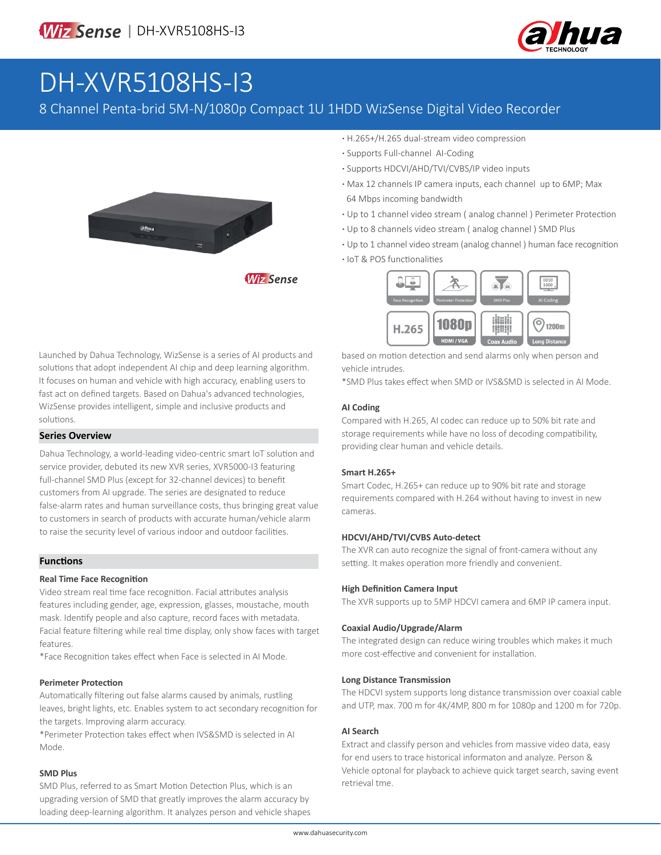

# DH-XVR5108HS-I3

### 8 Channel Penta-brid 5M-N/1080p Compact 1U 1HDD WizSense Digital Video Recorder



**Wiz Sense** 

- **·** H.265+/H.265 dual-stream video compression
- **·** Supports Full-channel AI-Coding
- **·** Supports HDCVI/AHD/TVI/CVBS/IP video inputs
- **·** Max 12 channels IP camera inputs, each channel up to 6MP; Max 64 Mbps incoming bandwidth
- **·** Up to 1 channel video stream ( analog channel ) Perimeter Protection
- **·** Up to 8 channels video stream ( analog channel ) SMD Plus
- **·** Up to 1 channel video stream (analog channel ) human face recognition
- **·** IoT & POS functionalities



based on motion detection and send alarms only when person and vehicle intrudes.

\*SMD Plus takes effect when SMD or IVS&SMD is selected in AI Mode.

#### **AI Coding**

Compared with H.265, AI codec can reduce up to 50% bit rate and storage requirements while have no loss of decoding compatibility, providing clear human and vehicle details.

#### **Smart H.265+**

Smart Codec, H.265+ can reduce up to 90% bit rate and storage requirements compared with H.264 without having to invest in new cameras.

#### **HDCVI/AHD/TVI/CVBS Auto-detect**

The XVR can auto recognize the signal of front-camera without any setting. It makes operation more friendly and convenient.

#### **High Definition Camera Input**

The XVR supports up to 5MP HDCVI camera and 6MP IP camera input.

#### **Coaxial Audio/Upgrade/Alarm**

The integrated design can reduce wiring troubles which makes it much more cost-effective and convenient for installation.

#### **Long Distance Transmission**

The HDCVI system supports long distance transmission over coaxial cable and UTP, max. 700 m for 4K/4MP, 800 m for 1080p and 1200 m for 720p.

#### **AI Search**

Extract and classify person and vehicles from massive video data, easy for end users to trace historical informaton and analyze. Person & Vehicle optonal for playback to achieve quick target search, saving event retrieval tme.

Launched by Dahua Technology, WizSense is a series of AI products and solutions that adopt independent AI chip and deep learning algorithm. It focuses on human and vehicle with high accuracy, enabling users to fast act on defined targets. Based on Dahua's advanced technologies, WizSense provides intelligent, simple and inclusive products and solutions.

#### **Series Overview**

Dahua Technology, a world-leading video-centric smart IoT solution and service provider, debuted its new XVR series, XVR5000-I3 featuring full-channel SMD Plus (except for 32-channel devices) to benefit customers from AI upgrade. The series are designated to reduce false-alarm rates and human surveillance costs, thus bringing great value to customers in search of products with accurate human/vehicle alarm to raise the security level of various indoor and outdoor facilities.

#### **Functions**

#### **Real Time Face Recognition**

Video stream real time face recognition. Facial attributes analysis features including gender, age, expression, glasses, moustache, mouth mask. Identify people and also capture, record faces with metadata. Facial feature filtering while real time display, only show faces with target features.

\*Face Recognition takes effect when Face is selected in AI Mode.

#### **Perimeter Protection**

Automatically filtering out false alarms caused by animals, rustling leaves, bright lights, etc. Enables system to act secondary recognition for the targets. Improving alarm accuracy.

\*Perimeter Protection takes effect when IVS&SMD is selected in AI Mode.

#### **SMD Plus**

SMD Plus, referred to as Smart Motion Detection Plus, which is an upgrading version of SMD that greatly improves the alarm accuracy by loading deep-learning algorithm. It analyzes person and vehicle shapes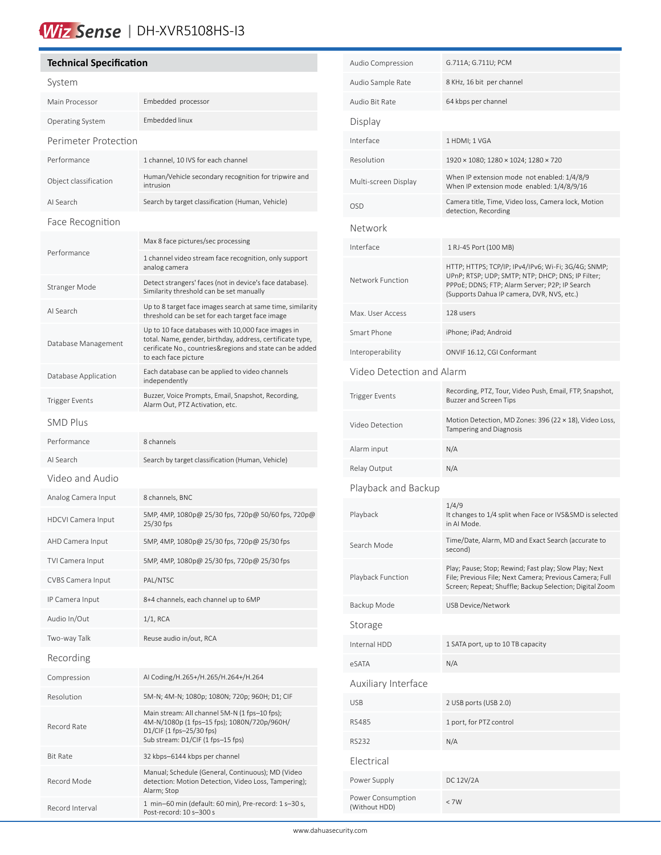## Wiz Sense | DH-XVR5108HS-13

#### **Technical Specification** System Main Processor Embedded processor Operating System Embedded linux Perimeter Protection Performance 1 channel, 10 IVS for each channel Object classification Human/Vehicle secondary recognition for tripwire and intrusion AI Search Search by target classification (Human, Vehicle) Face Recognition Performance Max 8 face pictures/sec processing 1 channel video stream face recognition, only support analog camera Stranger Mode Detect strangers' faces (not in device's face database). Similarity threshold can be set manually AI Search Up to 8 target face images search at same time, similarity threshold can be set for each target face image Database Management Up to 10 face databases with 10,000 face images in total. Name, gender, birthday, address, certificate type, cerificate No., countries&regions and state can be added to each face picture Database Application Each database can be applied to video channels independently Trigger Events<br>Alam Out BTZ Attention at a shape from the Recording, Alarm Out, PTZ Activation, etc. SMD Plus Performance 8 channels AI Search Search by target classification (Human, Vehicle) Video and Audio Analog Camera Input 8 channels, BNC HDCVI Camera Input 5MP, 4MP, 1080p@ 25/30 fps, 720p@ 50/60 fps, 720p@ 25/30 fps AHD Camera Input 5MP, 4MP, 1080p@ 25/30 fps, 720p@ 25/30 fps TVI Camera Input 5MP, 4MP, 1080p@ 25/30 fps, 720p@ 25/30 fps CVBS Camera Input PAL/NTSC IP Camera Input 8+4 channels, each channel up to 6MP Audio In/Out 1/1, RCA Two-way Talk Reuse audio in/out, RCA Recording Compression AI Coding/H.265+/H.265/H.264+/H.264 Resolution 5M-N; 4M-N; 1080p; 1080N; 720p; 960H; D1; CIF Record Rate Main stream: All channel 5M-N (1 fps–10 fps); 4M-N/1080p (1 fps–15 fps); 1080N/720p/960H/ D1/CIF (1 fps–25/30 fps) Sub stream: D1/CIF (1 fps–15 fps) Bit Rate 32 kbps–6144 kbps per channel Record Mode Manual; Schedule (General, Continuous); MD (Video detection: Motion Detection, Video Loss, Tampering); Alarm; Stop Record Interval 1 min–60 min (default: 60 min), Pre-record: 1 s–30 s,

Post-record: 10 s–300 s

í

| Audio Compression                  | G.711A; G.711U; PCM                                                                                                                                                                                      |  |  |  |
|------------------------------------|----------------------------------------------------------------------------------------------------------------------------------------------------------------------------------------------------------|--|--|--|
| Audio Sample Rate                  | 8 KHz, 16 bit per channel                                                                                                                                                                                |  |  |  |
| Audio Bit Rate                     | 64 kbps per channel                                                                                                                                                                                      |  |  |  |
| Display                            |                                                                                                                                                                                                          |  |  |  |
| Interface                          | 1 HDMI; 1 VGA                                                                                                                                                                                            |  |  |  |
| Resolution                         | 1920 × 1080; 1280 × 1024; 1280 × 720                                                                                                                                                                     |  |  |  |
| Multi-screen Display               | When IP extension mode not enabled: 1/4/8/9<br>When IP extension mode enabled: 1/4/8/9/16                                                                                                                |  |  |  |
| <b>OSD</b>                         | Camera title, Time, Video loss, Camera lock, Motion<br>detection, Recording                                                                                                                              |  |  |  |
| Network                            |                                                                                                                                                                                                          |  |  |  |
| Interface                          | 1 RJ-45 Port (100 MB)                                                                                                                                                                                    |  |  |  |
| Network Function                   | HTTP; HTTPS; TCP/IP; IPv4/IPv6; Wi-Fi; 3G/4G; SNMP;<br>UPnP; RTSP; UDP; SMTP; NTP; DHCP; DNS; IP Filter;<br>PPPoE; DDNS; FTP; Alarm Server; P2P; IP Search<br>(Supports Dahua IP camera, DVR, NVS, etc.) |  |  |  |
| Max. User Access                   | 128 users                                                                                                                                                                                                |  |  |  |
| Smart Phone                        | iPhone; iPad; Android                                                                                                                                                                                    |  |  |  |
| Interoperability                   | ONVIF 16.12, CGI Conformant                                                                                                                                                                              |  |  |  |
| Video Detection and Alarm          |                                                                                                                                                                                                          |  |  |  |
| <b>Trigger Events</b>              | Recording, PTZ, Tour, Video Push, Email, FTP, Snapshot,<br><b>Buzzer and Screen Tips</b>                                                                                                                 |  |  |  |
| Video Detection                    | Motion Detection, MD Zones: 396 (22 × 18), Video Loss,<br>Tampering and Diagnosis                                                                                                                        |  |  |  |
| Alarm input                        | N/A                                                                                                                                                                                                      |  |  |  |
| Relay Output                       | N/A                                                                                                                                                                                                      |  |  |  |
| Playback and Backup                |                                                                                                                                                                                                          |  |  |  |
| Playback                           | 1/4/9<br>It changes to 1/4 split when Face or IVS&SMD is selected<br>in AI Mode.                                                                                                                         |  |  |  |
| Search Mode                        | Time/Date, Alarm, MD and Exact Search (accurate to<br>second)                                                                                                                                            |  |  |  |
| Playback Function                  | Play; Pause; Stop; Rewind; Fast play; Slow Play; Next<br>File; Previous File; Next Camera; Previous Camera; Full<br>Screen; Repeat; Shuffle; Backup Selection; Digital Zoom                              |  |  |  |
| Backup Mode                        | USB Device/Network                                                                                                                                                                                       |  |  |  |
| Storage                            |                                                                                                                                                                                                          |  |  |  |
| Internal HDD                       | 1 SATA port, up to 10 TB capacity                                                                                                                                                                        |  |  |  |
| eSATA                              | N/A                                                                                                                                                                                                      |  |  |  |
| Auxiliary Interface                |                                                                                                                                                                                                          |  |  |  |
| <b>USB</b>                         | 2 USB ports (USB 2.0)                                                                                                                                                                                    |  |  |  |
| <b>RS485</b>                       | 1 port, for PTZ control                                                                                                                                                                                  |  |  |  |
| <b>RS232</b>                       | N/A                                                                                                                                                                                                      |  |  |  |
| Electrical                         |                                                                                                                                                                                                          |  |  |  |
| Power Supply                       | DC 12V/2A                                                                                                                                                                                                |  |  |  |
| Power Consumption<br>(Without HDD) | $<$ 7W                                                                                                                                                                                                   |  |  |  |